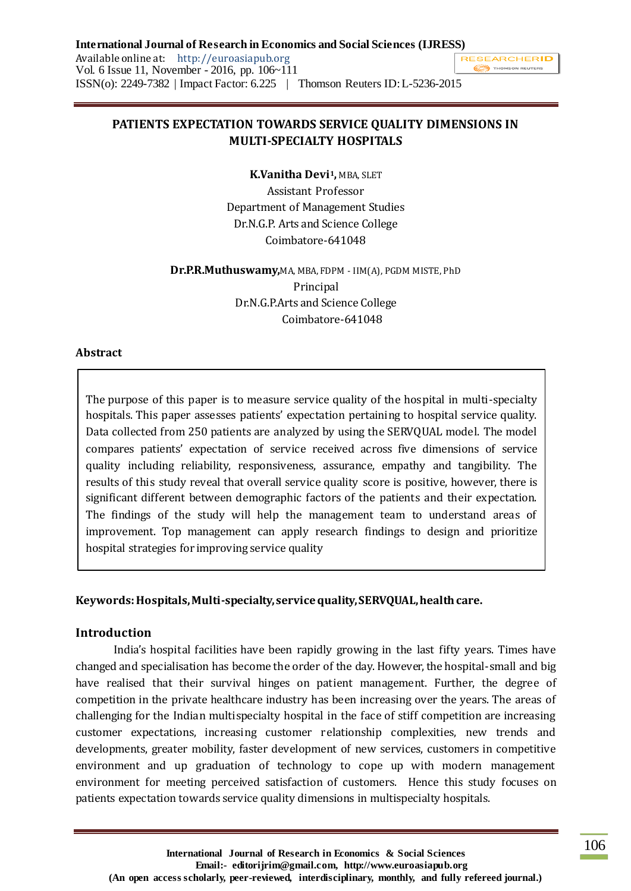# **PATIENTS EXPECTATION TOWARDS SERVICE QUALITY DIMENSIONS IN MULTI-SPECIALTY HOSPITALS**

**K.Vanitha Devi1,** MBA, SLET Assistant Professor Department of Management Studies Dr.N.G.P. Arts and Science College Coimbatore-641048

**Dr.P.R.Muthuswamy,**MA, MBA, FDPM - IIM(A), PGDM MISTE, PhD Principal Dr.N.G.P.Arts and Science College Coimbatore-641048

### **Abstract**

The purpose of this paper is to measure service quality of the hospital in multi-specialty hospitals. This paper assesses patients' expectation pertaining to hospital service quality. Data collected from 250 patients are analyzed by using the SERVQUAL model. The model compares patients' expectation of service received across five dimensions of service quality including reliability, responsiveness, assurance, empathy and tangibility. The results of this study reveal that overall service quality score is positive, however, there is significant different between demographic factors of the patients and their expectation. The findings of the study will help the management team to understand areas of improvement. Top management can apply research findings to design and prioritize hospital strategies for improving service quality

### **Keywords: Hospitals, Multi-specialty, service quality, SERVQUAL, health care.**

### **Introduction**

India's hospital facilities have been rapidly growing in the last fifty years. Times have changed and specialisation has become the order of the day. However, the hospital-small and big have realised that their survival hinges on patient management. Further, the degree of competition in the private healthcare industry has been increasing over the years. The areas of challenging for the Indian multispecialty hospital in the face of stiff competition are increasing customer expectations, increasing customer relationship complexities, new trends and developments, greater mobility, faster development of new services, customers in competitive environment and up graduation of technology to cope up with modern management environment for meeting perceived satisfaction of customers. Hence this study focuses on patients expectation towards service quality dimensions in multispecialty hospitals.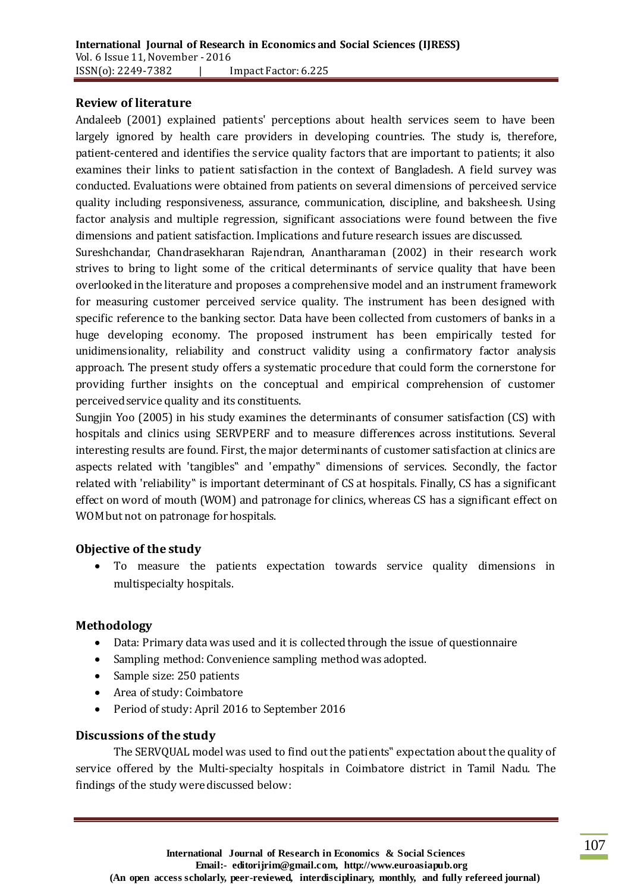### **Review of literature**

Andaleeb (2001) explained patients' perceptions about health services seem to have been largely ignored by health care providers in developing countries. The study is, therefore, patient-centered and identifies the service quality factors that are important to patients; it also examines their links to patient satisfaction in the context of Bangladesh. A field survey was conducted. Evaluations were obtained from patients on several dimensions of perceived service quality including responsiveness, assurance, communication, discipline, and baksheesh. Using factor analysis and multiple regression, significant associations were found between the five dimensions and patient satisfaction. Implications and future research issues are discussed.

Sureshchandar, Chandrasekharan Rajendran, Anantharaman (2002) in their research work strives to bring to light some of the critical determinants of service quality that have been overlooked in the literature and proposes a comprehensive model and an instrument framework for measuring customer perceived service quality. The instrument has been designed with specific reference to the banking sector. Data have been collected from customers of banks in a huge developing economy. The proposed instrument has been empirically tested for unidimensionality, reliability and construct validity using a confirmatory factor analysis approach. The present study offers a systematic procedure that could form the cornerstone for providing further insights on the conceptual and empirical comprehension of customer perceived service quality and its constituents.

Sungjin Yoo (2005) in his study examines the determinants of consumer satisfaction (CS) with hospitals and clinics using SERVPERF and to measure differences across institutions. Several interesting results are found. First, the major determinants of customer satisfaction at clinics are aspects related with 'tangibles" and 'empathy" dimensions of services. Secondly, the factor related with 'reliability" is important determinant of CS at hospitals. Finally, CS has a significant effect on word of mouth (WOM) and patronage for clinics, whereas CS has a significant effect on WOM but not on patronage for hospitals.

## **Objective of the study**

 To measure the patients expectation towards service quality dimensions in multispecialty hospitals.

## **Methodology**

- Data: Primary data was used and it is collected through the issue of questionnaire
- Sampling method: Convenience sampling method was adopted.
- Sample size: 250 patients
- Area of study: Coimbatore
- Period of study: April 2016 to September 2016

## **Discussions of the study**

The SERVQUAL model was used to find out the patients" expectation about the quality of service offered by the Multi-specialty hospitals in Coimbatore district in Tamil Nadu. The findings of the study were discussed below: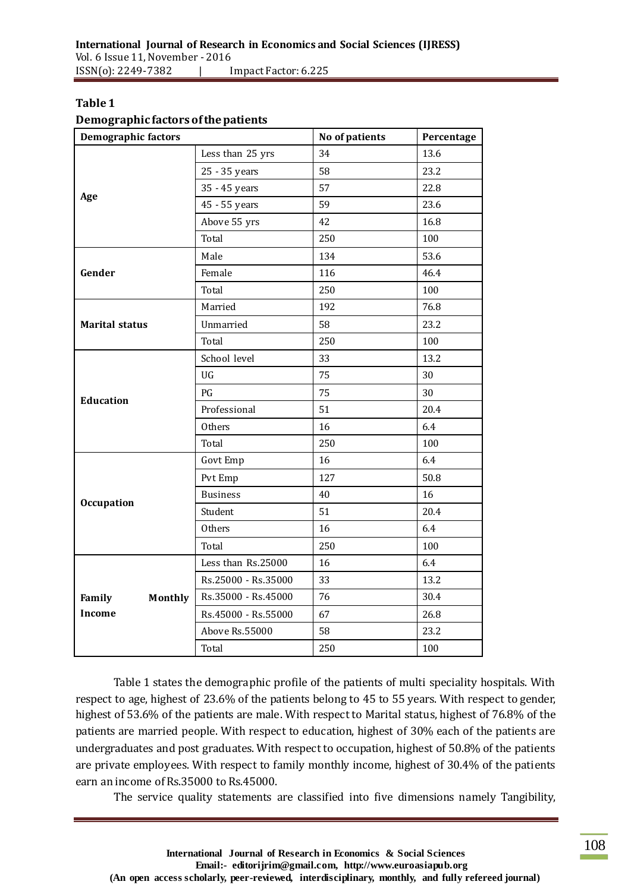### **Table 1**

#### **Demographic factors of the patients**

| <b>Demographic factors</b> |                     | No of patients<br>Percentage |      |  |
|----------------------------|---------------------|------------------------------|------|--|
|                            | Less than 25 yrs    | 34                           | 13.6 |  |
|                            | 58<br>25 - 35 years |                              | 23.2 |  |
|                            | 35 - 45 years<br>57 |                              | 22.8 |  |
| Age                        | 45 - 55 years       | 59                           |      |  |
|                            | Above 55 yrs<br>42  |                              | 16.8 |  |
|                            | Total               | 250                          | 100  |  |
|                            | Male                | 134                          | 53.6 |  |
| Gender                     | Female              | 116                          |      |  |
|                            | Total               | 250                          | 100  |  |
|                            | Married             | 192                          | 76.8 |  |
| <b>Marital status</b>      | Unmarried           | 58                           | 23.2 |  |
|                            | Total               | 250                          | 100  |  |
|                            | School level        | 33                           | 13.2 |  |
|                            | <b>UG</b>           | 75                           | 30   |  |
| <b>Education</b>           | PG                  | 75                           | 30   |  |
|                            | Professional<br>51  |                              | 20.4 |  |
|                            | Others              | 16                           | 6.4  |  |
|                            | Total               | 250                          | 100  |  |
|                            | Govt Emp            | 16                           | 6.4  |  |
|                            | Pvt Emp             | 127                          | 50.8 |  |
| <b>Occupation</b>          | <b>Business</b>     | 40                           | 16   |  |
|                            | Student             | 51                           | 20.4 |  |
|                            | Others              | 16                           | 6.4  |  |
|                            | Total               | 250                          | 100  |  |
|                            | Less than Rs.25000  | 16                           | 6.4  |  |
|                            | Rs.25000 - Rs.35000 | 33                           | 13.2 |  |
| Family<br>Monthly          | Rs.35000 - Rs.45000 | 76                           | 30.4 |  |
| <b>Income</b>              | Rs.45000 - Rs.55000 | 67                           | 26.8 |  |
|                            | Above Rs.55000      | 58                           | 23.2 |  |
|                            | Total               | 250                          | 100  |  |

Table 1 states the demographic profile of the patients of multi speciality hospitals. With respect to age, highest of 23.6% of the patients belong to 45 to 55 years. With respect to gender, highest of 53.6% of the patients are male. With respect to Marital status, highest of 76.8% of the patients are married people. With respect to education, highest of 30% each of the patients are undergraduates and post graduates. With respect to occupation, highest of 50.8% of the patients are private employees. With respect to family monthly income, highest of 30.4% of the patients earn an income of Rs.35000 to Rs.45000.

The service quality statements are classified into five dimensions namely Tangibility,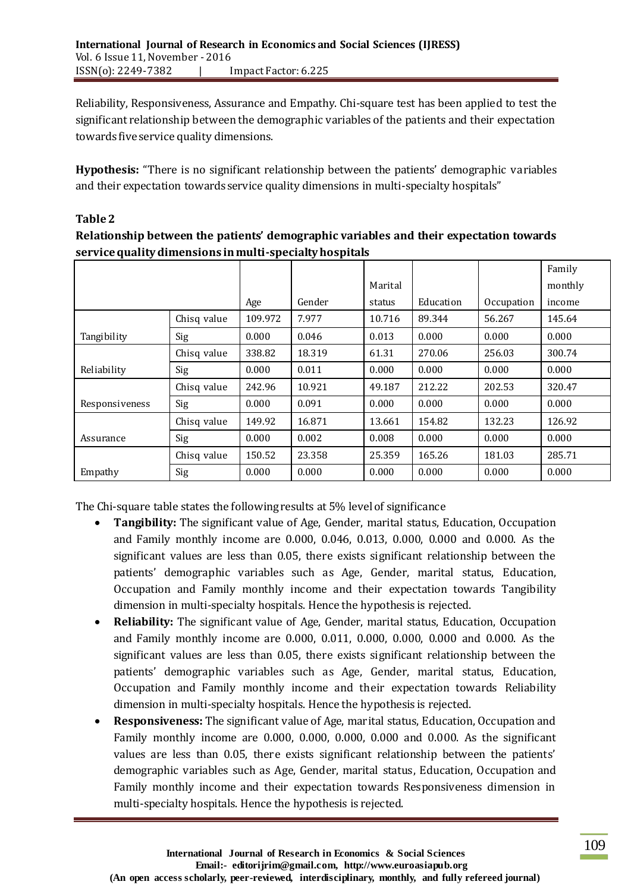Reliability, Responsiveness, Assurance and Empathy. Chi-square test has been applied to test the significant relationship between the demographic variables of the patients and their expectation towards five service quality dimensions.

**Hypothesis:** "There is no significant relationship between the patients' demographic variables and their expectation towards service quality dimensions in multi-specialty hospitals"

# **Table 2**

**Relationship between the patients' demographic variables and their expectation towards service quality dimensions in multi-specialty hospitals**

|                |             |         |        |         |           |            | Family  |
|----------------|-------------|---------|--------|---------|-----------|------------|---------|
|                |             |         |        | Marital |           |            | monthly |
|                |             | Age     | Gender | status  | Education | Occupation | income  |
|                | Chisq value | 109.972 | 7.977  | 10.716  | 89.344    | 56.267     | 145.64  |
| Tangibility    | Sig         | 0.000   | 0.046  | 0.013   | 0.000     | 0.000      | 0.000   |
|                | Chisq value | 338.82  | 18.319 | 61.31   | 270.06    | 256.03     | 300.74  |
| Reliability    | Sig         | 0.000   | 0.011  | 0.000   | 0.000     | 0.000      | 0.000   |
|                | Chisq value | 242.96  | 10.921 | 49.187  | 212.22    | 202.53     | 320.47  |
| Responsiveness | Sig         | 0.000   | 0.091  | 0.000   | 0.000     | 0.000      | 0.000   |
|                | Chisq value | 149.92  | 16.871 | 13.661  | 154.82    | 132.23     | 126.92  |
| Assurance      | Sig         | 0.000   | 0.002  | 0.008   | 0.000     | 0.000      | 0.000   |
|                | Chisq value | 150.52  | 23.358 | 25.359  | 165.26    | 181.03     | 285.71  |
| Empathy        | Sig         | 0.000   | 0.000  | 0.000   | 0.000     | 0.000      | 0.000   |

The Chi-square table states the following results at 5% level of significance

- **Tangibility:** The significant value of Age, Gender, marital status, Education, Occupation and Family monthly income are 0.000, 0.046, 0.013, 0.000, 0.000 and 0.000. As the significant values are less than 0.05, there exists significant relationship between the patients' demographic variables such as Age, Gender, marital status, Education, Occupation and Family monthly income and their expectation towards Tangibility dimension in multi-specialty hospitals. Hence the hypothesis is rejected.
- **Reliability:** The significant value of Age, Gender, marital status, Education, Occupation and Family monthly income are 0.000, 0.011, 0.000, 0.000, 0.000 and 0.000. As the significant values are less than 0.05, there exists significant relationship between the patients' demographic variables such as Age, Gender, marital status, Education, Occupation and Family monthly income and their expectation towards Reliability dimension in multi-specialty hospitals. Hence the hypothesis is rejected.
- **Responsiveness:** The significant value of Age, marital status, Education, Occupation and Family monthly income are 0.000, 0.000, 0.000, 0.000 and 0.000. As the significant values are less than 0.05, there exists significant relationship between the patients' demographic variables such as Age, Gender, marital status, Education, Occupation and Family monthly income and their expectation towards Responsiveness dimension in multi-specialty hospitals. Hence the hypothesis is rejected.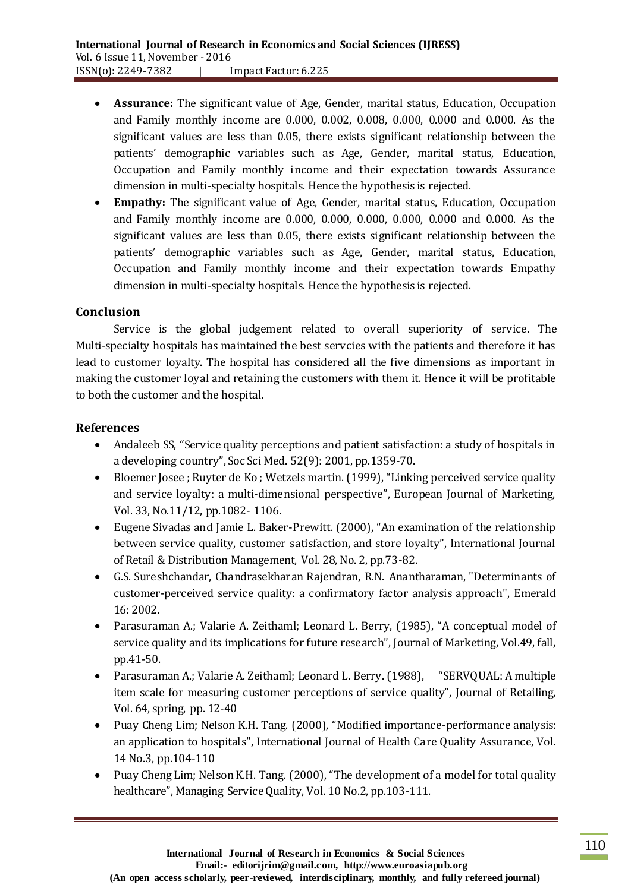- **Assurance:** The significant value of Age, Gender, marital status, Education, Occupation and Family monthly income are 0.000, 0.002, 0.008, 0.000, 0.000 and 0.000. As the significant values are less than 0.05, there exists significant relationship between the patients' demographic variables such as Age, Gender, marital status, Education, Occupation and Family monthly income and their expectation towards Assurance dimension in multi-specialty hospitals. Hence the hypothesis is rejected.
- **Empathy:** The significant value of Age, Gender, marital status, Education, Occupation and Family monthly income are 0.000, 0.000, 0.000, 0.000, 0.000 and 0.000. As the significant values are less than 0.05, there exists significant relationship between the patients' demographic variables such as Age, Gender, marital status, Education, Occupation and Family monthly income and their expectation towards Empathy dimension in multi-specialty hospitals. Hence the hypothesis is rejected.

### **Conclusion**

Service is the global judgement related to overall superiority of service. The Multi-specialty hospitals has maintained the best servcies with the patients and therefore it has lead to customer loyalty. The hospital has considered all the five dimensions as important in making the customer loyal and retaining the customers with them it. Hence it will be profitable to both the customer and the hospital.

### **References**

- Andaleeb SS, "Service quality perceptions and patient satisfaction: a study of hospitals in a developing country", Soc Sci Med. 52(9): 2001, pp.1359-70.
- Bloemer Josee ; Ruyter de Ko ; Wetzels martin. (1999), "Linking perceived service quality and service loyalty: a multi-dimensional perspective", European Journal of Marketing, Vol. 33, No.11/12, pp.1082- 1106.
- Eugene Sivadas and Jamie L. Baker-Prewitt. (2000), "An examination of the relationship between service quality, customer satisfaction, and store loyalty", International Journal of Retail & Distribution Management, Vol. 28, No. 2, pp.73-82.
- G.S. Sureshchandar, Chandrasekharan Rajendran, R.N. Anantharaman, "Determinants of customer-perceived service quality: a confirmatory factor analysis approach", Emerald 16: 2002.
- Parasuraman A.; Valarie A. Zeithaml; Leonard L. Berry, (1985), "A conceptual model of service quality and its implications for future research", Journal of Marketing, Vol.49, fall, pp.41-50.
- Parasuraman A.; Valarie A. Zeithaml; Leonard L. Berry. (1988), "SERVQUAL: A multiple item scale for measuring customer perceptions of service quality", Journal of Retailing, Vol. 64, spring, pp. 12-40
- Puay Cheng Lim; Nelson K.H. Tang. (2000), "Modified importance-performance analysis: an application to hospitals", International Journal of Health Care Quality Assurance, Vol. 14 No.3, pp.104-110
- Puay Cheng Lim; Nelson K.H. Tang. (2000), "The development of a model for total quality healthcare", Managing Service Quality, Vol. 10 No.2, pp.103-111.